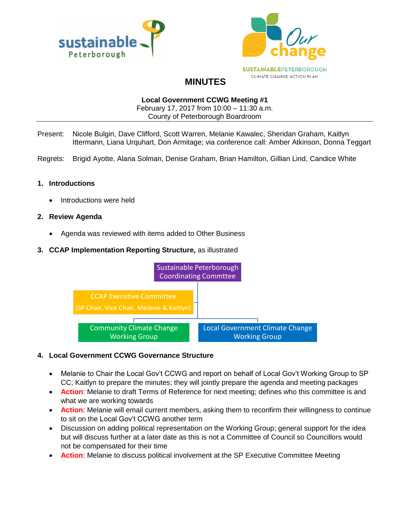



# **MINUTES**

#### **Local Government CCWG Meeting #1**

February 17, 2017 from 10:00 – 11:30 a.m. County of Peterborough Boardroom

- Present: Nicole Bulgin, Dave Clifford, Scott Warren, Melanie Kawalec, Sheridan Graham, Kaitlyn Ittermann, Liana Urquhart, Don Armitage; via conference call: Amber Atkinson, Donna Teggart
- Regrets: Brigid Ayotte, Alana Solman, Denise Graham, Brian Hamilton, Gillian Lind, Candice White

## **1. Introductions**

Introductions were held

#### **2. Review Agenda**

Agenda was reviewed with items added to Other Business

## **3. CCAP Implementation Reporting Structure,** as illustrated



## **4. Local Government CCWG Governance Structure**

- Melanie to Chair the Local Gov't CCWG and report on behalf of Local Gov't Working Group to SP CC; Kaitlyn to prepare the minutes; they will jointly prepare the agenda and meeting packages
- **Action**: Melanie to draft Terms of Reference for next meeting; defines who this committee is and what we are working towards
- **Action**: Melanie will email current members, asking them to reconfirm their willingness to continue to sit on the Local Gov't CCWG another term
- Discussion on adding political representation on the Working Group; general support for the idea but will discuss further at a later date as this is not a Committee of Council so Councillors would not be compensated for their time
- **Action**: Melanie to discuss political involvement at the SP Executive Committee Meeting